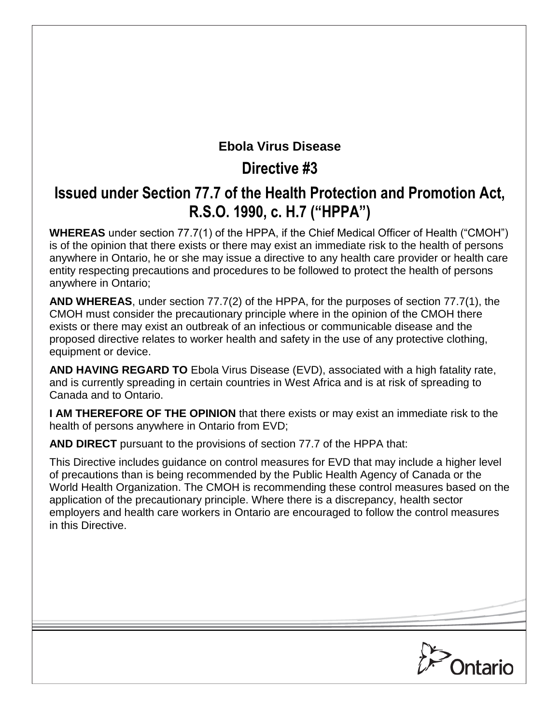# **Ebola Virus Disease**

# **Directive #3**

# **Issued under Section 77.7 of the Health Protection and Promotion Act, R.S.O. 1990, c. H.7 ("HPPA")**

**WHEREAS** under section 77.7(1) of the HPPA, if the Chief Medical Officer of Health ("CMOH") is of the opinion that there exists or there may exist an immediate risk to the health of persons anywhere in Ontario, he or she may issue a directive to any health care provider or health care entity respecting precautions and procedures to be followed to protect the health of persons anywhere in Ontario;

**AND WHEREAS**, under section 77.7(2) of the HPPA, for the purposes of section 77.7(1), the CMOH must consider the precautionary principle where in the opinion of the CMOH there exists or there may exist an outbreak of an infectious or communicable disease and the proposed directive relates to worker health and safety in the use of any protective clothing, equipment or device.

**AND HAVING REGARD TO** Ebola Virus Disease (EVD), associated with a high fatality rate, and is currently spreading in certain countries in West Africa and is at risk of spreading to Canada and to Ontario.

**I AM THEREFORE OF THE OPINION** that there exists or may exist an immediate risk to the health of persons anywhere in Ontario from EVD;

**AND DIRECT** pursuant to the provisions of section 77.7 of the HPPA that:

This Directive includes guidance on control measures for EVD that may include a higher level of precautions than is being recommended by the Public Health Agency of Canada or the World Health Organization. The CMOH is recommending these control measures based on the application of the precautionary principle. Where there is a discrepancy, health sector employers and health care workers in Ontario are encouraged to follow the control measures in this Directive.

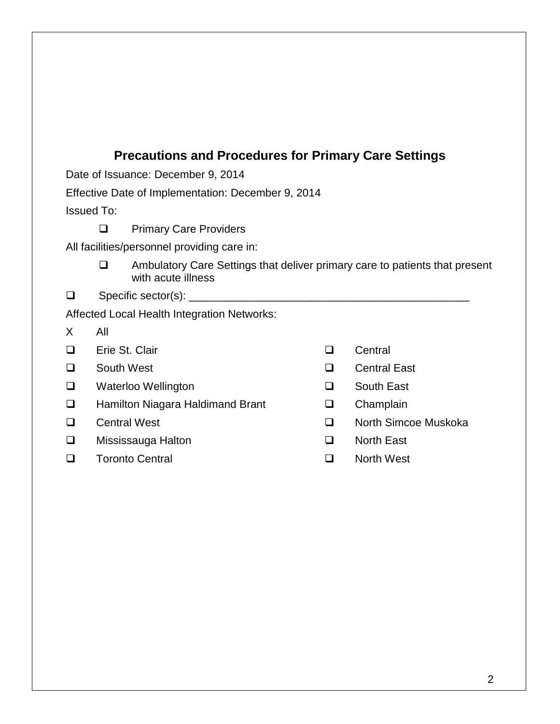# **Precautions and Procedures for Primary Care Settings**

Date of Issuance: December 9, 2014

Effective Date of Implementation: December 9, 2014

Issued To:

## **D** Primary Care Providers

All facilities/personnel providing care in:

- $\Box$  Ambulatory Care Settings that deliver primary care to patients that present with acute illness
- $\Box$  Specific sector(s):  $\Box$

Affected Local Health Integration Networks:

- X All
- □ Erie St. Clair 
□ Central
- 
- Waterloo Wellington South East
- □ Hamilton Niagara Haldimand Brant □ Champlain
- 
- Mississauga Halton North East
- □ Toronto Central and a North West
- 
- □ South West Central East
	-
	-
- □ Central West North Simcoe Muskoka
	-
	-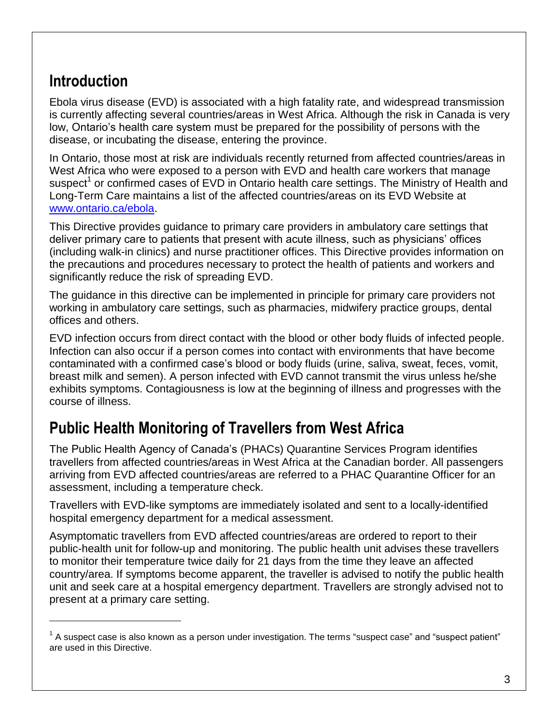# **Introduction**

 $\overline{a}$ 

Ebola virus disease (EVD) is associated with a high fatality rate, and widespread transmission is currently affecting several countries/areas in West Africa. Although the risk in Canada is very low, Ontario's health care system must be prepared for the possibility of persons with the disease, or incubating the disease, entering the province.

In Ontario, those most at risk are individuals recently returned from affected countries/areas in West Africa who were exposed to a person with EVD and health care workers that manage suspect<sup>1</sup> or confirmed cases of EVD in Ontario health care settings. The Ministry of Health and Long-Term Care maintains a list of the affected countries/areas on its EVD Website at [www.ontario.ca/ebola.](http://www.ontario.ca/ebola)

This Directive provides guidance to primary care providers in ambulatory care settings that deliver primary care to patients that present with acute illness, such as physicians' offices (including walk-in clinics) and nurse practitioner offices. This Directive provides information on the precautions and procedures necessary to protect the health of patients and workers and significantly reduce the risk of spreading EVD.

The guidance in this directive can be implemented in principle for primary care providers not working in ambulatory care settings, such as pharmacies, midwifery practice groups, dental offices and others.

EVD infection occurs from direct contact with the blood or other body fluids of infected people. Infection can also occur if a person comes into contact with environments that have become contaminated with a confirmed case's blood or body fluids (urine, saliva, sweat, feces, vomit, breast milk and semen). A person infected with EVD cannot transmit the virus unless he/she exhibits symptoms. Contagiousness is low at the beginning of illness and progresses with the course of illness.

# <span id="page-2-0"></span>**Public Health Monitoring of Travellers from West Africa**

The Public Health Agency of Canada's (PHACs) Quarantine Services Program identifies travellers from affected countries/areas in West Africa at the Canadian border. All passengers arriving from EVD affected countries/areas are referred to a PHAC Quarantine Officer for an assessment, including a temperature check.

Travellers with EVD-like symptoms are immediately isolated and sent to a locally-identified hospital emergency department for a medical assessment.

Asymptomatic travellers from EVD affected countries/areas are ordered to report to their public-health unit for follow-up and monitoring. The public health unit advises these travellers to monitor their temperature twice daily for 21 days from the time they leave an affected country/area. If symptoms become apparent, the traveller is advised to notify the public health unit and seek care at a hospital emergency department. Travellers are strongly advised not to present at a primary care setting.

 $1$  A suspect case is also known as a person under investigation. The terms "suspect case" and "suspect patient" are used in this Directive.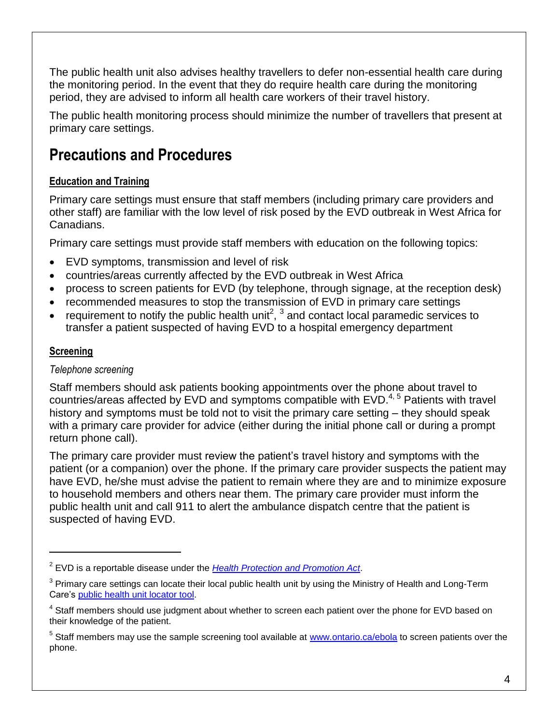The public health unit also advises healthy travellers to defer non-essential health care during the monitoring period. In the event that they do require health care during the monitoring period, they are advised to inform all health care workers of their travel history.

The public health monitoring process should minimize the number of travellers that present at primary care settings.

# **Precautions and Procedures**

# **Education and Training**

Primary care settings must ensure that staff members (including primary care providers and other staff) are familiar with the low level of risk posed by the EVD outbreak in West Africa for Canadians.

Primary care settings must provide staff members with education on the following topics:

- EVD symptoms, transmission and level of risk
- countries/areas currently affected by the EVD outbreak in West Africa
- process to screen patients for EVD (by telephone, through signage, at the reception desk)
- recommended measures to stop the transmission of EVD in primary care settings
- requirement to notify the public health unit<sup>2</sup>,  $3$  and contact local paramedic services to transfer a patient suspected of having EVD to a hospital emergency department

# **Screening**

 $\overline{a}$ 

## *Telephone screening*

Staff members should ask patients booking appointments over the phone about travel to countries/areas affected by EVD and symptoms compatible with  $EVD$ .<sup>4, 5</sup> Patients with travel history and symptoms must be told not to visit the primary care setting – they should speak with a primary care provider for advice (either during the initial phone call or during a prompt return phone call).

The primary care provider must review the patient's travel history and symptoms with the patient (or a companion) over the phone. If the primary care provider suspects the patient may have EVD, he/she must advise the patient to remain where they are and to minimize exposure to household members and others near them. The primary care provider must inform the public health unit and call 911 to alert the ambulance dispatch centre that the patient is suspected of having EVD.

<sup>2</sup> EVD is a reportable disease under the *[Health Protection and Promotion Act](http://www.e-laws.gov.on.ca/html/statutes/english/elaws_statutes_90h07_e.htm)*.

 $3$  Primary care settings can locate their local public health unit by using the Ministry of Health and Long-Term Care's [public health unit locator tool.](http://www.phdapps.health.gov.on.ca/PHULocator)

<sup>&</sup>lt;sup>4</sup> Staff members should use judgment about whether to screen each patient over the phone for EVD based on their knowledge of the patient.

<sup>&</sup>lt;sup>5</sup> Staff members may use the sample screening tool available at [www.ontario.ca/ebola](http://www.ontario.ca/ebola) to screen patients over the phone.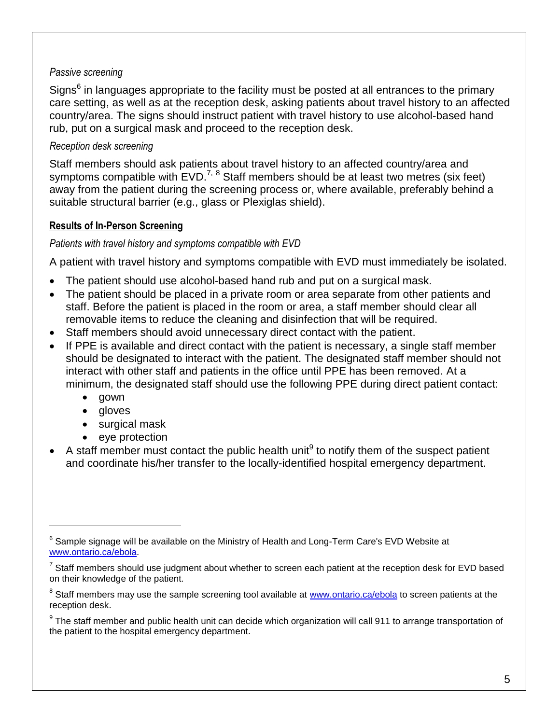### *Passive screening*

Signs<sup>6</sup> in languages appropriate to the facility must be posted at all entrances to the primary care setting, as well as at the reception desk, asking patients about travel history to an affected country/area. The signs should instruct patient with travel history to use alcohol-based hand rub, put on a surgical mask and proceed to the reception desk.

### *Reception desk screening*

Staff members should ask patients about travel history to an affected country/area and symptoms compatible with  $EVD.<sup>7, 8</sup>$  Staff members should be at least two metres (six feet) away from the patient during the screening process or, where available, preferably behind a suitable structural barrier (e.g., glass or Plexiglas shield).

#### **Results of In-Person Screening**

#### <span id="page-4-0"></span>*Patients with travel history and symptoms compatible with EVD*

A patient with travel history and symptoms compatible with EVD must immediately be isolated.

- The patient should use alcohol-based hand rub and put on a surgical mask.
- The patient should be placed in a private room or area separate from other patients and staff. Before the patient is placed in the room or area, a staff member should clear all removable items to reduce the cleaning and disinfection that will be required.
- Staff members should avoid unnecessary direct contact with the patient.
- If PPE is available and direct contact with the patient is necessary, a single staff member should be designated to interact with the patient. The designated staff member should not interact with other staff and patients in the office until PPE has been removed. At a minimum, the designated staff should use the following PPE during direct patient contact:
	- gown

 $\overline{a}$ 

- **gloves**
- surgical mask
- eye protection
- $\bullet$  A staff member must contact the public health unit<sup>9</sup> to notify them of the suspect patient and coordinate his/her transfer to the locally-identified hospital emergency department.

 $^6$  Sample signage will be available on the Ministry of Health and Long-Term Care's EVD Website at [www.ontario.ca/ebola.](http://www.ontario.ca/ebola)

<sup>7</sup> Staff members should use judgment about whether to screen each patient at the reception desk for EVD based on their knowledge of the patient.

<sup>&</sup>lt;sup>8</sup> Staff members may use the sample screening tool available at [www.ontario.ca/ebola](http://www.ontario.ca/ebola) to screen patients at the reception desk.

<sup>&</sup>lt;sup>9</sup> The staff member and public health unit can decide which organization will call 911 to arrange transportation of the patient to the hospital emergency department.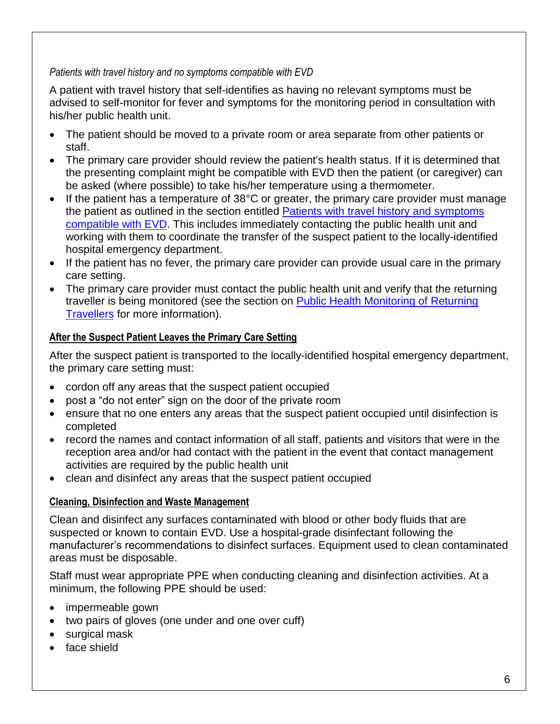### *Patients with travel history and no symptoms compatible with EVD*

A patient with travel history that self-identifies as having no relevant symptoms must be advised to self-monitor for fever and symptoms for the monitoring period in consultation with his/her public health unit.

- The patient should be moved to a private room or area separate from other patients or staff.
- The primary care provider should review the patient's health status. If it is determined that the presenting complaint might be compatible with EVD then the patient (or caregiver) can be asked (where possible) to take his/her temperature using a thermometer.
- If the patient has a temperature of 38°C or greater, the primary care provider must manage the patient as outlined in the section entitled Patients with travel history and symptoms [compatible](#page-4-0) with EVD. This includes immediately contacting the public health unit and working with them to coordinate the transfer of the suspect patient to the locally-identified hospital emergency department.
- If the patient has no fever, the primary care provider can provide usual care in the primary care setting.
- The primary care provider must contact the public health unit and verify that the returning traveller is being monitored (see the section on Public Health Monitoring of Returning [Travellers](#page-2-0) for more information).

## **After the Suspect Patient Leaves the Primary Care Setting**

After the suspect patient is transported to the locally-identified hospital emergency department, the primary care setting must:

- cordon off any areas that the suspect patient occupied
- post a "do not enter" sign on the door of the private room
- ensure that no one enters any areas that the suspect patient occupied until disinfection is completed
- record the names and contact information of all staff, patients and visitors that were in the reception area and/or had contact with the patient in the event that contact management activities are required by the public health unit
- clean and disinfect any areas that the suspect patient occupied

## **Cleaning, Disinfection and Waste Management**

Clean and disinfect any surfaces contaminated with blood or other body fluids that are suspected or known to contain EVD. Use a hospital-grade disinfectant following the manufacturer's recommendations to disinfect surfaces. Equipment used to clean contaminated areas must be disposable.

Staff must wear appropriate PPE when conducting cleaning and disinfection activities. At a minimum, the following PPE should be used:

- impermeable gown
- two pairs of gloves (one under and one over cuff)
- surgical mask
- face shield